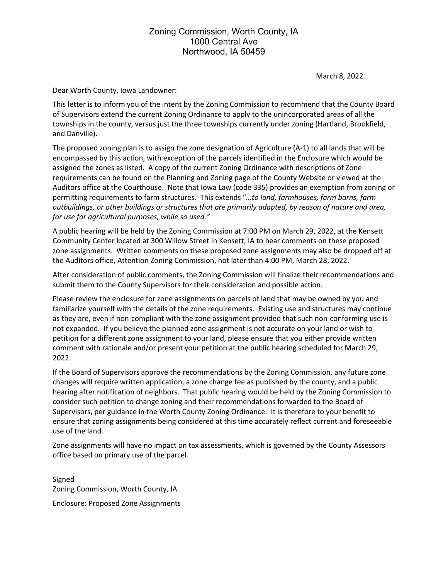## Zoning Commission, Worth County, IA 1000 Central Ave Northwood, IA 50459

March 8, 2022

Dear Worth County, Iowa Landowner:

This letter is to inform you of the intent by the Zoning Commission to recommend that the County Board of Supervisors extend the current Zoning Ordinance to apply to the unincorporated areas of all the townships in the county, versus just the three townships currently under zoning (Hartland, Brookfield, and Danville).

The proposed zoning plan is to assign the zone designation of Agriculture (A-1) to all lands that will be encompassed by this action, with exception of the parcels identified in the Enclosure which would be assigned the zones as listed. A copy of the current Zoning Ordinance with descriptions of Zone requirements can be found on the Planning and Zoning page of the County Website or viewed at the Auditors office at the Courthouse. Note that Iowa Law (code 335) provides an exemption from zoning or permitting requirements to farm structures. This extends "*…to land, farmhouses, farm barns, farm outbuildings, or other buildings or structures that are primarily adapted, by reason of nature and area, for use for agricultural purposes, while so used."*

A public hearing will be held by the Zoning Commission at 7:00 PM on March 29, 2022, at the Kensett Community Center located at 300 Willow Street in Kensett, IA to hear comments on these proposed zone assignments. Written comments on these proposed zone assignments may also be dropped off at the Auditors office, Attention Zoning Commission, not later than 4:00 PM, March 28, 2022.

After consideration of public comments, the Zoning Commission will finalize their recommendations and submit them to the County Supervisors for their consideration and possible action.

Please review the enclosure for zone assignments on parcels of land that may be owned by you and familiarize yourself with the details of the zone requirements. Existing use and structures may continue as they are, even if non-compliant with the zone assignment provided that such non-conforming use is not expanded. If you believe the planned zone assignment is not accurate on your land or wish to petition for a different zone assignment to your land, please ensure that you either provide written comment with rationale and/or present your petition at the public hearing scheduled for March 29, 2022.

If the Board of Supervisors approve the recommendations by the Zoning Commission, any future zone changes will require written application, a zone change fee as published by the county, and a public hearing after notification of neighbors. That public hearing would be held by the Zoning Commission to consider such petition to change zoning and their recommendations forwarded to the Board of Supervisors, per guidance in the Worth County Zoning Ordinance. It is therefore to your benefit to ensure that zoning assignments being considered at this time accurately reflect current and foreseeable use of the land.

Zone assignments will have no impact on tax assessments, which is governed by the County Assessors office based on primary use of the parcel.

Signed Zoning Commission, Worth County, IA Enclosure: Proposed Zone Assignments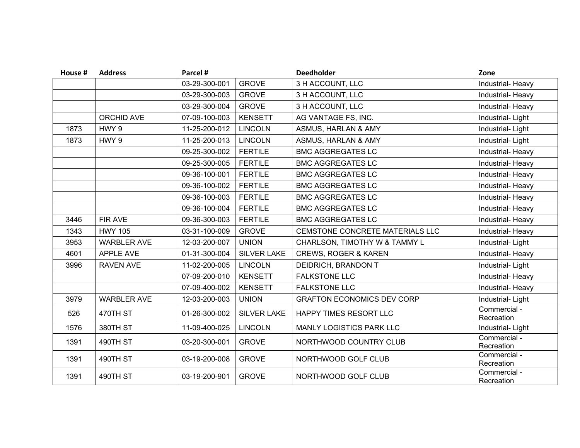| House # | <b>Address</b>     | Parcel #      |                    | <b>Deedholder</b>                 | Zone                       |
|---------|--------------------|---------------|--------------------|-----------------------------------|----------------------------|
|         |                    | 03-29-300-001 | <b>GROVE</b>       | 3 H ACCOUNT, LLC                  | Industrial- Heavy          |
|         |                    | 03-29-300-003 | <b>GROVE</b>       | 3 H ACCOUNT, LLC                  | Industrial- Heavy          |
|         |                    | 03-29-300-004 | <b>GROVE</b>       | 3 H ACCOUNT, LLC                  | Industrial- Heavy          |
|         | <b>ORCHID AVE</b>  | 07-09-100-003 | <b>KENSETT</b>     | AG VANTAGE FS, INC.               | Industrial-Light           |
| 1873    | HWY 9              | 11-25-200-012 | <b>LINCOLN</b>     | ASMUS, HARLAN & AMY               | Industrial-Light           |
| 1873    | HWY 9              | 11-25-200-013 | <b>LINCOLN</b>     | ASMUS, HARLAN & AMY               | Industrial-Light           |
|         |                    | 09-25-300-002 | <b>FERTILE</b>     | <b>BMC AGGREGATES LC</b>          | Industrial- Heavy          |
|         |                    | 09-25-300-005 | <b>FERTILE</b>     | <b>BMC AGGREGATES LC</b>          | Industrial- Heavy          |
|         |                    | 09-36-100-001 | <b>FERTILE</b>     | <b>BMC AGGREGATES LC</b>          | Industrial- Heavy          |
|         |                    | 09-36-100-002 | <b>FERTILE</b>     | <b>BMC AGGREGATES LC</b>          | Industrial- Heavy          |
|         |                    | 09-36-100-003 | <b>FERTILE</b>     | <b>BMC AGGREGATES LC</b>          | Industrial-Heavy           |
|         |                    | 09-36-100-004 | <b>FERTILE</b>     | <b>BMC AGGREGATES LC</b>          | Industrial- Heavy          |
| 3446    | <b>FIR AVE</b>     | 09-36-300-003 | <b>FERTILE</b>     | <b>BMC AGGREGATES LC</b>          | Industrial- Heavy          |
| 1343    | <b>HWY 105</b>     | 03-31-100-009 | <b>GROVE</b>       | CEMSTONE CONCRETE MATERIALS LLC   | Industrial- Heavy          |
| 3953    | <b>WARBLER AVE</b> | 12-03-200-007 | <b>UNION</b>       | CHARLSON, TIMOTHY W & TAMMY L     | Industrial-Light           |
| 4601    | <b>APPLE AVE</b>   | 01-31-300-004 | <b>SILVER LAKE</b> | <b>CREWS, ROGER &amp; KAREN</b>   | Industrial- Heavy          |
| 3996    | <b>RAVEN AVE</b>   | 11-02-200-005 | <b>LINCOLN</b>     | DEIDRICH, BRANDON T               | Industrial-Light           |
|         |                    | 07-09-200-010 | <b>KENSETT</b>     | <b>FALKSTONE LLC</b>              | Industrial-Heavy           |
|         |                    | 07-09-400-002 | <b>KENSETT</b>     | <b>FALKSTONE LLC</b>              | Industrial- Heavy          |
| 3979    | <b>WARBLER AVE</b> | 12-03-200-003 | <b>UNION</b>       | <b>GRAFTON ECONOMICS DEV CORP</b> | Industrial-Light           |
| 526     | 470TH ST           | 01-26-300-002 | <b>SILVER LAKE</b> | HAPPY TIMES RESORT LLC            | Commercial -<br>Recreation |
| 1576    | 380TH ST           | 11-09-400-025 | <b>LINCOLN</b>     | MANLY LOGISTICS PARK LLC          | Industrial-Light           |
| 1391    | 490TH ST           | 03-20-300-001 | <b>GROVE</b>       | NORTHWOOD COUNTRY CLUB            | Commercial -<br>Recreation |
| 1391    | 490TH ST           | 03-19-200-008 | <b>GROVE</b>       | NORTHWOOD GOLF CLUB               | Commercial -<br>Recreation |
| 1391    | 490TH ST           | 03-19-200-901 | <b>GROVE</b>       | NORTHWOOD GOLF CLUB               | Commercial -<br>Recreation |